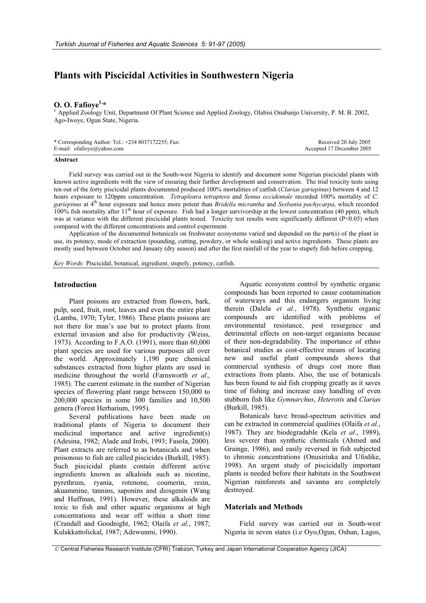# **Plants with Piscicidal Activities in Southwestern Nigeria**

**O. O. Fafioye<sup>1,\*</sup>**<br><sup>1</sup> Applied Zoology Unit, Department Of Plant Science and Applied Zoology, Olabisi Onabanjo University, P. M. B. 2002, Ago-Iwoye, Ogun State, Nigeria.

| * Corresponding Author: Tel.: $+2348037172255$ ; Fax: | Received 20 July 2005     |
|-------------------------------------------------------|---------------------------|
| E-mail: of a fioye $\omega$ yahoo.com                 | Accepted 17 December 2005 |

### **Abstract**

Field survey was carried out in the South-west Nigeria to identify and document some Nigerian piscicidal plants with known active ingredients with the view of ensuring their further development and conservation. The trial toxicity tests using ten out of the forty piscicidal plants documented produced 100% mortalities of catfish (*Clarias gariepinus*) between 4 and 12 hours exposure to 120ppm concentration. *Tetrapleura tetraptera* and *Senna occidentale* recorded 100% mortality of *C. gariepinus* at 4th hour exposure and hence more potent than *Bridella micrantha* and *Sesbania pachycarpa*, which recorded  $100\%$  fish mortality after  $11<sup>th</sup>$  hour of exposure. Fish had a longer survivorship at the lowest concentration (40 ppm), which was at variance with the different piscicidal plants tested. Toxicity test results were significantly different (P<0.05) when compared with the different concentrations and control experiment.

Application of the documented botanicals on freshwater ecosystems varied and depended on the part(s) of the plant in use, its potency, mode of extraction (pounding, cutting, powdery, or whole soaking) and active ingredients. These plants are mostly used between October and January (dry season) and after the first rainfall of the year to stupefy fish before cropping.

*Key Words:* Piscicidal, botanical, ingredient, stupefy, potency, catfish.

# **Introduction**

Plant poisons are extracted from flowers, bark, pulp, seed, fruit, root, leaves and even the entire plant (Lamba, 1970; Tyler, 1986). These plants poisons are not there for man's use but to protect plants from external invasion and also for productivity (Weiss, 1973). According to F.A.O. (1991), more than 60,000 plant species are used for various purposes all over the world. Approximately 1,190 pure chemical substances extracted from higher plants are used in medicine throughout the world (Farnsworth *et al*., 1985). The current estimate in the number of Nigerian species of flowering plant range between 150,000 to 200,000 species in some 300 families and 10,500 genera (Forest Herbarium, 1995).

Several publications have been made on traditional plants of Nigeria to document their medicinal importance and active ingredient(s) (Adesina, 1982; Alade and Irobi, 1993; Fasola, 2000). Plant extracts are referred to as botanicals and when poisonous to fish are called piscicides (Burkill, 1985). Such piscicidal plants contain different active ingredients known as alkaloids such as nicotine, pyrethrum, ryania, rotenone, coumerin, resin, akuammine, tannins, saponins and diosgenin (Wang and Huffman, 1991). However, these alkaloids are toxic to fish and other aquatic organisms at high concentrations and wear off within a short time (Crandall and Goodnight, 1962; Olaifa *et al.*, 1987; Kulakkattolickal, 1987; Adewunmi, 1990).

Aquatic ecosystem control by synthetic organic compounds has been reported to cause contamination of waterways and this endangers organism living therein (Dalela *et al.*, 1978). Synthetic organic compounds are identified with problems of environmental resistance, pest resurgence and detrimental effects on non-target organisms because of their non-degradability. The importance of ethno botanical studies as cost-effective means of locating new and useful plant compounds shows that commercial synthesis of drugs cost more than extractions from plants. Also, the use of botanicals has been found to aid fish cropping greatly as it saves time of fishing and increase easy handling of even stubborn fish like *Gymnarchus*, *Heterotis* and *Clarias* (Burkill, 1985).

Botanicals have broad-spectrum activities and can be extracted in commercial qualities (Olaifa *et al.*, 1987). They are biodegradable (Kela *et al*., 1989), less severer than synthetic chemicals (Ahmed and Grainge, 1986), and easily reversed in fish subjected to chronic concentrations (Onusiriuka and Ufodike, 1998). An urgent study of piscicidally important plants is needed before their habitats in the Southwest Nigerian rainforests and savanna are completely destroyed.

# **Materials and Methods**

Field survey was carried out in South-west Nigeria in seven states (i.e Oyo,Ogun, Oshun, Lagos,

© Central Fisheries Research Institute (CFRI) Trabzon, Turkey and Japan International Cooperation Agency (JICA)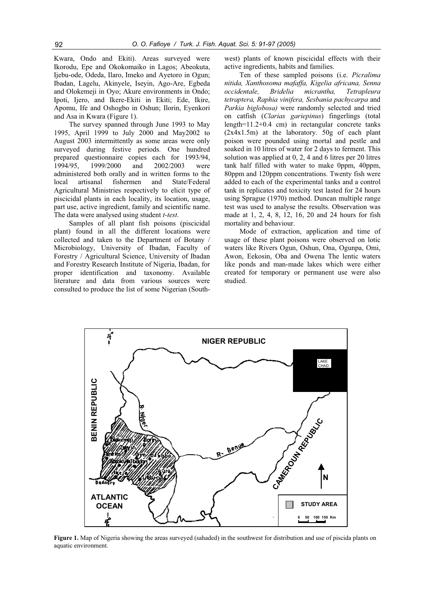Kwara, Ondo and Ekiti). Areas surveyed were Ikorodu, Epe and Okokomaiko in Lagos; Abeokuta, Ijebu-ode, Odeda, Ilaro, Imeko and Ayetoro in Ogun; Ibadan, Lagelu, Akinyele, Iseyin, Ago-Are, Egbeda and Olokemeji in Oyo; Akure environments in Ondo; Ipoti, Ijero, and Ikere-Ekiti in Ekiti; Ede, Ikire, Apomu, Ife and Oshogbo in Oshun; Ilorin, Eyenkori and Asa in Kwara (Figure 1).

The survey spanned through June 1993 to May 1995, April 1999 to July 2000 and May2002 to August 2003 intermittently as some areas were only surveyed during festive periods. One hundred prepared questionnaire copies each for 1993/94, 1994/95, 1999/2000 and 2002/2003 were administered both orally and in written forms to the local artisanal fishermen and State/Federal Agricultural Ministries respectively to elicit type of piscicidal plants in each locality, its location, usage, part use, active ingredient, family and scientific name. The data were analysed using student *t-test*.

Samples of all plant fish poisons (piscicidal plant) found in all the different locations were collected and taken to the Department of Botany / Microbiology, University of Ibadan, Faculty of Forestry / Agricultural Science, University of Ibadan and Forestry Research Institute of Nigeria, Ibadan, for proper identification and taxonomy. Available literature and data from various sources were consulted to produce the list of some Nigerian (Southwest) plants of known piscicidal effects with their active ingredients, habits and families.

Ten of these sampled poisons (i.e. *Picralima nitida, Xanthosoma mafaffa, Kigelia africana, Senna occidentale, Bridelia micrantha, Tetrapleura tetraptera, Raphia vinifera, Sesbania pachycarpa* and *Parkia biglobosa)* were randomly selected and tried on catfish (*Clarias gariepinus*) fingerlings (total length=11.2+0.4 cm) in rectangular concrete tanks (2x4x1.5m) at the laboratory. 50g of each plant poison were pounded using mortal and pestle and soaked in 10 litres of water for 2 days to ferment. This solution was applied at 0, 2, 4 and 6 litres per 20 litres tank half filled with water to make 0ppm, 40ppm, 80ppm and 120ppm concentrations. Twenty fish were added to each of the experimental tanks and a control tank in replicates and toxicity test lasted for 24 hours using Sprague (1970) method. Duncan multiple range test was used to analyse the results. Observation was made at 1, 2, 4, 8, 12, 16, 20 and 24 hours for fish mortality and behaviour.

Mode of extraction, application and time of usage of these plant poisons were observed on lotic waters like Rivers Ogun, Oshun, Ona, Ogunpa, Omi, Awon, Eekosin, Oba and Owena The lentic waters like ponds and man-made lakes which were either created for temporary or permanent use were also studied.



**Figure 1.** Map of Nigeria showing the areas surveyed (sahaded) in the southwest for distribution and use of piscida plants on aquatic environment.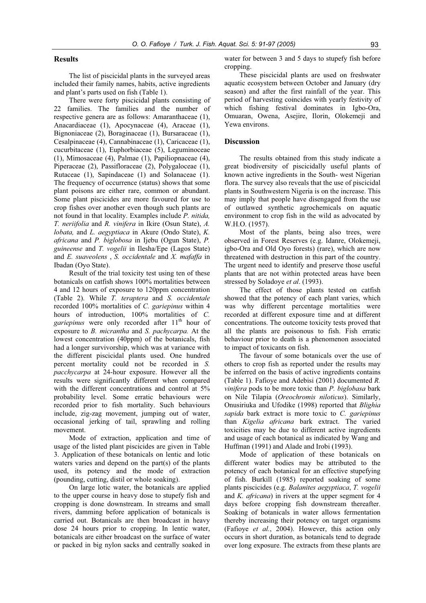# **Results**

The list of piscicidal plants in the surveyed areas included their family names, habits, active ingredients and plant's parts used on fish (Table 1).

There were forty piscicidal plants consisting of 22 families. The families and the number of respective genera are as follows: Amaranthaceae (1), Anacardiaceae (1), Apocynaceae (4), Araceae (1), Bignoniaceae (2), Boraginaceae (1), Bursaraceae (1), Cesalpinaceae (4), Cannabinaceae (1), Caricaceae (1), cucurbitaceae (1), Euphorbiaceae (5), Leguminoceae (1), Mimosaceae (4), Palmae (1), Papiliopnaceae (4), Piperaceae (2), Passifloraceae (2), Polygaloceae (1), Rutaceae (1), Sapindaceae (1) and Solanaceae (1). The frequency of occurrence (status) shows that some plant poisons are either rare, common or abundant. Some plant piscicides are more favoured for use to crop fishes over another even though such plants are not found in that locality. Examples include *P. nitida, T. neriifolia* and *R. vinifera* in Ikire (Osun State), *A. lobata,* and *L. aegyptiaca* in Akure (Ondo State), *K. africana* and *P. biglobosa* in Ijebu (Ogun State), *P. guineense* and *T. vogelii* in Ilesha/Epe (Lagos State) and *E. suaveolens* , *S. occidentale* and *X. mafaffa* in Ibadan (Oyo State).

Result of the trial toxicity test using ten of these botanicals on catfish shows 100% mortalities between 4 and 12 hours of exposure to 120ppm concentration (Table 2). While *T. teraptera* and *S. occidentale* recorded 100% mortalities of *C. gariepinus* within 4 hours of introduction, 100% mortalities of *C.* gariepinus were only recorded after 11<sup>th</sup> hour of exposure to *B. micrantha* and *S. pachycarpa.* At the lowest concentration (40ppm) of the botanicals, fish had a longer survivorship, which was at variance with the different piscicidal plants used. One hundred percent mortality could not be recorded in *S. pacchycarpa* at 24-hour exposure. However all the results were significantly different when compared with the different concentrations and control at  $5\%$ probability level. Some erratic behaviours were recorded prior to fish mortality. Such behaviours include, zig-zag movement, jumping out of water, occasional jerking of tail, sprawling and rolling movement.

Mode of extraction, application and time of usage of the listed plant piscicides are given in Table 3. Application of these botanicals on lentic and lotic waters varies and depend on the part(s) of the plants used, its potency and the mode of extraction (pounding, cutting, distil or whole soaking).

On large lotic water, the botanicals are applied to the upper course in heavy dose to stupefy fish and cropping is done downstream. In streams and small rivers, damming before application of botanicals is carried out. Botanicals are then broadcast in heavy dose 24 hours prior to cropping. In lentic water, botanicals are either broadcast on the surface of water or packed in big nylon sacks and centrally soaked in water for between 3 and 5 days to stupefy fish before cropping.

These piscicidal plants are used on freshwater aquatic ecosystem between October and January (dry season) and after the first rainfall of the year. This period of harvesting coincides with yearly festivity of which fishing festival dominates in Igbo-Ora, Omuaran, Owena, Asejire, Ilorin, Olokemeji and Yewa environs.

## **Discussion**

The results obtained from this study indicate a great biodiversity of piscicidally useful plants of known active ingredients in the South- west Nigerian flora. The survey also reveals that the use of piscicidal plants in Southwestern Nigeria is on the increase. This may imply that people have disengaged from the use of outlawed synthetic agrochemicals on aquatic environment to crop fish in the wild as advocated by W.H.O. (1957).

Most of the plants, being also trees, were observed in Forest Reserves (e.g. Idanre, Olokemeji, igbo-Ora and Old Oyo forests) (rare), which are now threatened with destruction in this part of the country. The urgent need to identify and preserve those useful plants that are not within protected areas have been stressed by Soladoye *et al*. (1993).

The effect of those plants tested on catfish showed that the potency of each plant varies, which was why different percentage mortalities were recorded at different exposure time and at different concentrations. The outcome toxicity tests proved that all the plants are poisonous to fish. Fish erratic behaviour prior to death is a phenomenon associated to impact of toxicants on fish.

The favour of some botanicals over the use of others to crop fish as reported under the results may be inferred on the basis of active ingredients contains (Table 1). Fafioye and Adebisi (2001) documented *R. vinifera* pods to be more toxic than *P. biglobasa* bark on Nile Tilapia (*Oreochromis niloticus*). Similarly, Onusiriuka and Ufodike (1998) reported that *Blighia sapida* bark extract is more toxic to *C. gariepinus* than *Kigelia africana* bark extract. The varied toxicities may be due to different active ingredients and usage of each botanical as indicated by Wang and Huffman (1991) and Alade and Irobi (1993).

Mode of application of these botanicals on different water bodies may be attributed to the potency of each botanical for an effective stupefying of fish. Burkill (1985) reported soaking of some plants piscicides (e.g. *Balanites aegyptiaca*, *T. vogelii* and *K. africana*) in rivers at the upper segment for 4 days before cropping fish downstream thereafter. Soaking of botanicals in water allows fermentation thereby increasing their potency on target organisms (Fafioye *et al.*, 2004). However, this action only occurs in short duration, as botanicals tend to degrade over long exposure. The extracts from these plants are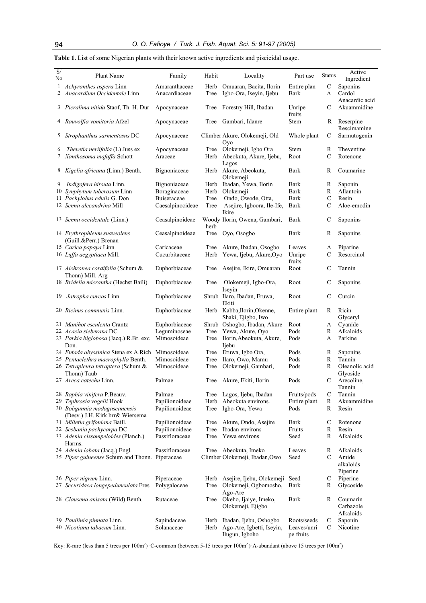| $\mathbf{S}/% \mathbf{S}$<br>No | Plant Name                                                      | Family                   | Habit | Locality                       | Part use             | Status        | Active<br>Ingredient |
|---------------------------------|-----------------------------------------------------------------|--------------------------|-------|--------------------------------|----------------------|---------------|----------------------|
| $\mathbf{1}$                    | Achyranthes aspera Linn                                         | Amaranthaceae            | Herb  | Omuaran, Bacita, Ilorin        | Entire plan          | $\mathsf{C}$  | Saponins             |
| $\overline{2}$                  | Anacardium Occidentale Linn                                     | Anacardiaceae            | Tree  | Igbo-Ora, Iseyin, Ijebu        | Bark                 | A             | Cardol               |
|                                 |                                                                 |                          |       |                                |                      |               | Anacardic acid       |
|                                 | 3 Picralima nitida Staof, Th. H. Dur                            | Apocynaceae              | Tree  | Forestry Hill, Ibadan.         | Unripe               | C             | Akuammidine          |
|                                 |                                                                 |                          |       |                                | fruits               |               |                      |
| 4                               | Rauvolfia vomitoria Afzel                                       | Apocynaceae              | Tree  | Gambari, Idanre                | <b>Stem</b>          | R             | Reserpine            |
|                                 |                                                                 |                          |       |                                |                      |               | Rescimamine          |
| 5                               | Strophanthus sarmentosus DC                                     | Apocynaceae              |       | Climber Akure, Olokemeji, Old  | Whole plant          | C             | Sarmutogenin         |
|                                 |                                                                 |                          |       | Oyo                            |                      |               |                      |
| 6                               | Thevetia neriifolia (L) Juss ex                                 | Apocynaceae              | Tree  | Olokemeji, Igbo Ora            | Stem                 | R             | Theventine           |
| 7                               | Xanthosoma mafaffa Schott                                       | Araceae                  | Herb  | Abeokuta, Akure, Ijebu,        | Root                 | $\mathcal{C}$ | Rotenone             |
|                                 |                                                                 |                          |       | Lagos                          |                      |               |                      |
| 8                               | Kigelia africana (Linn.) Benth.                                 | Bignoniaceae             |       | Herb Akure, Abeokuta,          | <b>Bark</b>          | R             | Coumarine            |
|                                 |                                                                 |                          |       | Olokemeji                      |                      |               |                      |
| 9                               | <i>Indigofera hirsuta</i> Linn.                                 | Bignoniaceae             | Herb  | Ibadan, Yewa, Ilorin           | Bark                 | R             | Saponin              |
|                                 | 10 Synphytum tuberosum Linn                                     | Boraginaceae             | Herb  | Olokemeji                      | Bark                 | R             | Allantoin            |
|                                 | 11 Pachylobus edulis G. Don                                     | Buiseraceae              | Tree  | Ondo, Owode, Otta,             | <b>Bark</b>          | $\mathbf C$   | Resin                |
|                                 | 12 Senna alecandrina Mill                                       | Caesalpinocideae         | Tree  | Asejire, Igboora, Ile-Ife,     | Bark                 | $\mathcal{C}$ | Aloe-emodin          |
|                                 |                                                                 |                          |       | Ikire                          |                      |               |                      |
|                                 | 13 Senna occidentale (Linn.)                                    | Ceasalpinoideae          |       | Woody Ilorin, Owena, Gambari,  | Bark                 | C             | Saponins             |
|                                 |                                                                 |                          | herb  |                                |                      |               |                      |
|                                 | 14 Erythrophleum suaveolens                                     | Ceasalpinoideae          | Tree  | Oyo, Osogbo                    | Bark                 | R             | Saponins             |
|                                 | (Guill.&Perr.) Brenan                                           |                          |       |                                |                      |               |                      |
|                                 | 15 Carica papaya Linn.                                          | Caricaceae               | Tree  | Akure, Ibadan, Osogbo          | Leaves               | A             | Piparine             |
|                                 | 16 Luffa aegyptiaca Mill.                                       | Cucurbitaceae            | Herb  | Yewa, Ijebu, Akure, Oyo        | Unripe               | $\mathsf{C}$  | Resorcinol           |
|                                 |                                                                 |                          |       |                                | fruits               |               |                      |
|                                 | 17 Alchronea cordifolia (Schum &                                | Euphorbiaceae            | Tree  | Asejire, Ikire, Omuaran        | Root                 | C             | Tannin               |
|                                 | Thonn) Mill. Arg                                                |                          |       |                                |                      |               |                      |
|                                 | 18 Bridelia micrantha (Hechst Baili)                            | Euphorbiaceae            | Tree  | Olokemeji, Igbo-Ora,           | Root                 | C             | Saponins             |
|                                 |                                                                 |                          |       | Iseyin                         |                      |               |                      |
| 19                              | Jatropha curcas Linn.                                           | Euphorbiaceae            |       | Shrub Ilaro, Ibadan, Eruwa,    | Root                 | C             | Curcin               |
|                                 |                                                                 |                          |       | Ekiti                          |                      |               |                      |
|                                 | 20 <i>Ricinus communis</i> Linn.                                | Euphorbiaceae            |       | Herb Kabba, Ilorin, Okenne,    | Entire plant         | R             | Ricin                |
|                                 |                                                                 |                          |       | Shaki, Ejigbo, Iwo             |                      |               | Glyceryl             |
|                                 | 21 Manihot esculenta Crantz                                     | Euphorbiaceae            |       | Shrub Oshogbo, Ibadan, Akure   | Root                 | A             | Cyanide              |
|                                 | 22 Acacia sieberana DC                                          | Leguminoseae             | Tree  | Yewa, Akure, Oyo               | Pods                 | $\mathbb{R}$  | Alkaloids            |
|                                 | 23 Parkia biglobosa (Jacq.) R.Br. exc                           | Mimosoideae              | Tree  | Ilorin, Abeokuta, Akure,       | Pods                 | A             | Parkine              |
|                                 | Don.                                                            |                          |       | Ijebu                          |                      |               |                      |
|                                 | 24 Entada abyssinica Stena ex A.Rich Mimosoideae                | Mimosoideae              | Tree  | Eruwa, Igbo Ora,               | Pods                 | R             | Saponins             |
|                                 | 25 Pentaclethra macrophylla Benth.                              |                          | Tree  | Ilaro, Owo, Mamu               | Pods                 | $\mathbb R$   | Tannin               |
|                                 | 26 Tetrapleura tetraptera (Schum &                              | Mimosoideae              | Tree  | Olokemeji, Gambari,            | Pods                 | R             | Oleanolic acid       |
|                                 | Thonn) Taub                                                     |                          |       |                                |                      |               | Glyoside             |
|                                 | 27 Areca catechu Linn.                                          | Palmae                   | Tree  | Akure, Ekiti, Ilorin           | Pods                 | C             | Arecoline,           |
|                                 |                                                                 |                          |       |                                |                      |               | Tannin               |
|                                 | 28 Raphia vinifera P.Beauv.                                     | Palmae<br>Papilionoideae | Herb  | Tree Lagos, Ijebu, Ibadan      | Fruits/pods          | C<br>R        | Tannin               |
|                                 | 29 Tephrosia vogelii Hook                                       |                          | Tree  | Abeokuta environs.             | Entire plant<br>Pods | R             | Akuammidine<br>Resin |
|                                 | 30 Bobgunnia madagascanensis<br>(Desv.) J.H. Kirk brr& Wiersema | Papilionoideae           |       | Igbo-Ora, Yewa                 |                      |               |                      |
|                                 | 31 Milletia grifoniana Baill.                                   | Papilionoideae           | Tree  | Akure, Ondo, Asejire           | Bark                 | C             | Rotenone             |
|                                 | 32 Sesbania pachycarpa DC                                       | Papilionoideae           | Tree  | Ibadan environs                | Fruits               | R             | Resin                |
|                                 | 33 Adenia cissampeloides (Planch.)                              | Passifloraceae           | Tree  | Yewa environs                  | Seed                 | R             | Alkaloids            |
|                                 | Harms.                                                          |                          |       |                                |                      |               |                      |
|                                 | 34 Adenia lobata (Jacq.) Engl.                                  | Passifloraceae           |       | Tree Abeokuta, Imeko           | Leaves               | R             | Alkaloids            |
|                                 | 35 Piper guineense Schum and Thonn. Piperaceae                  |                          |       | Climber Olokemeji, Ibadan, Owo | Seed                 | $\mathsf{C}$  | Amide                |
|                                 |                                                                 |                          |       |                                |                      |               | alkaloids            |
|                                 |                                                                 |                          |       |                                |                      |               | Piperine             |
|                                 | 36 Piper nigrum Linn.                                           | Piperaceae               | Herb  | Asejire, Ijebu, Olokemeji      | Seed                 | $\mathbf C$   | Piperine             |
|                                 | 37 Securidaca longepedunculata Fres. Polygaloceae               |                          | Tree  | Olokemeji, Ogbomosho,          | Bark                 | R             | Glycoside            |
|                                 |                                                                 |                          |       | Ago-Are                        |                      |               |                      |
|                                 | 38 Clausena anisata (Wild) Benth.                               | Rutaceae                 | Tree  | Okeho, Ijaiye, Imeko,          | Bark                 | R             | Coumarin             |
|                                 |                                                                 |                          |       | Olokemeji, Ejigbo              |                      |               | Carbazole            |
|                                 |                                                                 |                          |       |                                |                      |               | Alkaloids            |
|                                 | 39 Paullinia pinnata Linn.                                      | Sapindaceae              | Herb  | Ibadan, Ijebu, Oshogbo         | Roots/seeds          | C             | Saponin              |
|                                 | 40 Nicotiana tabacum Linn.                                      | Solanaceae               | Herb  | Ago-Are, Igbetti, Iseyin,      | Leaves/unri          | C             | Nicotine             |
|                                 |                                                                 |                          |       | Ilugun, Igboho                 | pe fruits            |               |                      |

**Table 1.** List of some Nigerian plants with their known active ingredients and piscicidal usage.

Key: R-rare (less than 5 trees per  $100m^2$ ) C-common (between 5-15 trees per  $100m^2$ ) A-abundant (above 15 trees per  $100m^2$ )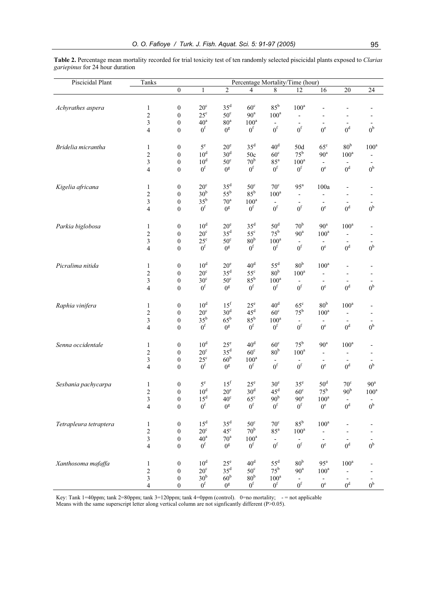**Table 2.** Percentage mean mortality recorded for trial toxicity test of ten randomly selected piscicidal plants exposed to *Clarias gariepinus* for 24 hour duration

| Piscicidal Plant       | Tanks                   | Percentage Mortality/Time (hour) |                 |                 |                 |                          |                          |                                   |                          |                          |
|------------------------|-------------------------|----------------------------------|-----------------|-----------------|-----------------|--------------------------|--------------------------|-----------------------------------|--------------------------|--------------------------|
|                        |                         | $\boldsymbol{0}$                 | $\mathbf{1}$    | $\overline{2}$  | 4               | 8                        | 12                       | 16                                | 20                       | $24\,$                   |
|                        |                         |                                  |                 |                 |                 |                          |                          |                                   |                          |                          |
| Achyrathes aspera      | $\mathbf{1}$            | $\boldsymbol{0}$                 | $20^{\circ}$    | $35^d$          | $60^{\circ}$    | $85^{\rm b}$             | $100^a$                  | $\overline{a}$                    | $\overline{\phantom{0}}$ |                          |
|                        | $\overline{c}$          | $\boldsymbol{0}$                 | $25^{\circ}$    | $50^{\circ}$    | 90 <sup>a</sup> | $100^a$                  | $\overline{\phantom{0}}$ | $\qquad \qquad \blacksquare$      |                          |                          |
|                        | 3                       | $\boldsymbol{0}$                 | 40 <sup>a</sup> | 80 <sup>a</sup> | $100^a$         | $\overline{\phantom{a}}$ | $\overline{\phantom{m}}$ | $\overline{\phantom{a}}$          | $\overline{\phantom{a}}$ |                          |
|                        | 4                       | $\boldsymbol{0}$                 | 0 <sup>f</sup>  | $0^{\rm g}$     | 0 <sup>f</sup>  | $0^\mathrm{f}$           | $0^{\rm f}$              | $0^e$                             | 0 <sup>d</sup>           | 0 <sup>b</sup>           |
|                        |                         |                                  |                 |                 |                 |                          |                          |                                   |                          |                          |
| Bridelia micrantha     | $\mathbf{1}$            | $\boldsymbol{0}$                 | $5^{\rm e}$     | $20^{\circ}$    | $35^d$          | 40 <sup>d</sup>          | 50d                      | $65^{\circ}$                      | 80 <sup>b</sup>          | $100^a$                  |
|                        | $\overline{c}$          | $\boldsymbol{0}$                 | 10 <sup>d</sup> | 30 <sup>d</sup> | 50c             | $60^\circ$               | $75^{\rm b}$             | $90^{\rm a}$                      | $100^a$                  |                          |
|                        | 3                       | $\boldsymbol{0}$                 | 10 <sup>d</sup> | $50^{\circ}$    | 70 <sup>b</sup> | $85^{\mathrm{a}}$        | $100^a$                  |                                   |                          |                          |
|                        | 4                       | $\boldsymbol{0}$                 | 0 <sup>f</sup>  | $0^{\text{g}}$  | 0 <sup>f</sup>  | 0 <sup>f</sup>           | 0 <sup>f</sup>           | $\overline{\phantom{a}}$<br>$0^e$ | 0 <sup>d</sup>           | 0 <sup>b</sup>           |
|                        |                         |                                  |                 |                 |                 |                          |                          |                                   |                          |                          |
|                        |                         |                                  |                 |                 |                 |                          |                          |                                   |                          |                          |
| Kigelia africana       | $\mathbf{1}$            | $\boldsymbol{0}$                 | $20^{\circ}$    | $35^d$          | $50^{\circ}$    | $70^{\circ}$             | $95^{\mathrm{a}}$        | 100a                              | $\overline{\phantom{0}}$ |                          |
|                        | $\overline{c}$          | $\boldsymbol{0}$                 | 30 <sup>b</sup> | $55^{\rm b}$    | $85^{\rm b}$    | $100^a$                  | $\qquad \qquad -$        | $\overline{\phantom{0}}$          | $\overline{\phantom{a}}$ |                          |
|                        | 3                       | $\boldsymbol{0}$                 | $35^{\rm b}$    | $70^{\rm a}$    | $100^a$         |                          | $\overline{\phantom{m}}$ | $\overline{\phantom{a}}$          | 0 <sup>d</sup>           |                          |
|                        | 4                       | $\boldsymbol{0}$                 | 0 <sup>f</sup>  | $0^{\text{g}}$  | 0 <sup>f</sup>  | 0 <sup>f</sup>           | 0 <sup>f</sup>           | $0^e$                             |                          | 0 <sup>b</sup>           |
|                        |                         |                                  |                 |                 |                 |                          |                          |                                   |                          |                          |
| Parkia biglobosa       | $\mathbf{1}$            | $\boldsymbol{0}$                 | 10 <sup>d</sup> | $20^{\circ}$    | 35 <sup>d</sup> | 50 <sup>d</sup>          | 70 <sup>b</sup>          | 90 <sup>a</sup>                   | $100^a$                  |                          |
|                        | $\overline{c}$          | $\boldsymbol{0}$                 | $20^{\circ}$    | $35^d$          | $55^{\circ}$    | $75^{\rm b}$             | 90 <sup>a</sup>          | $100^a$                           | $\overline{\phantom{0}}$ |                          |
|                        | 3                       | $\boldsymbol{0}$                 | $25^{\rm c}$    | $50^{\circ}$    | 80 <sup>b</sup> | $100^a$                  | $\overline{\phantom{a}}$ | $\overline{\phantom{a}}$          |                          |                          |
|                        | $\overline{\mathbf{4}}$ | $\boldsymbol{0}$                 | 0 <sup>f</sup>  | $0^{\rm g}$     | 0 <sup>f</sup>  | 0 <sup>f</sup>           | 0 <sup>f</sup>           | $0^e$                             | 0 <sup>d</sup>           | 0 <sup>b</sup>           |
|                        |                         |                                  |                 |                 |                 |                          |                          |                                   |                          |                          |
| Picralima nitida       | $\mathbf{1}$            | $\boldsymbol{0}$                 | 10 <sup>d</sup> | $20^e$          | 40 <sup>d</sup> | $55^d$                   | 80 <sup>b</sup>          | $100^a$                           | $\overline{\phantom{0}}$ |                          |
|                        | $\overline{c}$          | $\boldsymbol{0}$                 | $20^{\circ}$    | 35 <sup>d</sup> | $55^{\circ}$    | 80 <sup>b</sup>          | $100^a$                  | $\overline{\phantom{0}}$          |                          |                          |
|                        | 3                       | $\boldsymbol{0}$                 | 30 <sup>c</sup> | $50^{\circ}$    | $85^{\rm b}$    | $100^a$                  | $\overline{\phantom{m}}$ | $\overline{\phantom{a}}$          |                          |                          |
|                        | $\overline{4}$          | $\boldsymbol{0}$                 | 0 <sup>f</sup>  | $0^{\rm g}$     | 0 <sup>f</sup>  | 0 <sup>f</sup>           | 0 <sup>f</sup>           | $0^e$                             | 0 <sup>d</sup>           | 0 <sup>b</sup>           |
|                        |                         |                                  |                 |                 |                 |                          |                          |                                   |                          |                          |
| Raphia vinifera        | $\mathbf{1}$            | $\boldsymbol{0}$                 | 10 <sup>d</sup> | 15 <sup>f</sup> | $25^{\circ}$    | 40 <sup>d</sup>          | $65^{\circ}$             | 80 <sup>b</sup>                   | $100^a$                  |                          |
|                        | $\overline{c}$          | $\boldsymbol{0}$                 | $20^{\circ}$    | 30 <sup>d</sup> | 45 <sup>d</sup> | $60^{\circ}$             | $75^{\rm b}$             | $100^{\rm a}$                     | $\qquad \qquad -$        |                          |
|                        | 3                       | $\boldsymbol{0}$                 | $35^{\rm b}$    | $65^{\rm b}$    | $85^{\rm b}$    | $100^a$                  |                          |                                   |                          |                          |
|                        | 4                       | $\boldsymbol{0}$                 | 0 <sup>f</sup>  | $0^{\rm g}$     | 0 <sup>f</sup>  | 0 <sup>f</sup>           | 0 <sup>f</sup>           | $0^e$                             | 0 <sup>d</sup>           | 0 <sup>b</sup>           |
|                        |                         |                                  |                 |                 |                 |                          |                          |                                   |                          |                          |
| Senna occidentale      | $\mathbf{1}$            | $\boldsymbol{0}$                 | 10 <sup>d</sup> | $25^{\circ}$    | 40 <sup>d</sup> | $60^{\circ}$             | $75^{\rm b}$             | 90 <sup>a</sup>                   | $100^{\rm a}$            | $\overline{\phantom{a}}$ |
|                        | $\overline{\mathbf{c}}$ | $\boldsymbol{0}$                 | $20^{\circ}$    | $35^d$          | $60^{\circ}$    | 80 <sup>b</sup>          | $100^a$                  | $\overline{\phantom{a}}$          | $\overline{\phantom{0}}$ |                          |
|                        | $\mathfrak{Z}$          | $\boldsymbol{0}$                 | $25^{\circ}$    | 60 <sup>b</sup> | $100^a$         | $\overline{\phantom{a}}$ | $\qquad \qquad -$        |                                   |                          |                          |
|                        | 4                       | $\boldsymbol{0}$                 | 0 <sup>f</sup>  | $0^{\text{g}}$  | $0^\mathrm{f}$  | $0^\mathrm{f}$           | $0^{\rm f}$              | $0^e$                             | 0 <sup>d</sup>           | 0 <sup>b</sup>           |
|                        |                         |                                  |                 |                 |                 |                          |                          |                                   |                          |                          |
| Sesbania pachycarpa    | $\mathbf{1}$            | $\boldsymbol{0}$                 | $5^e$           | 15 <sup>f</sup> | $25^{\circ}$    | 30 <sup>e</sup>          | 35 <sup>e</sup>          | 50 <sup>d</sup>                   | $70^{\circ}$             | $90^{\mathrm{a}}$        |
|                        | 2                       | $\boldsymbol{0}$                 | 10 <sup>d</sup> | $20^e$          | 30 <sup>d</sup> | $45^{\rm d}$             | $60^\circ$               | $75^{\rm b}$                      | 90 <sup>b</sup>          | $100^a$                  |
|                        | 3                       | $\bf{0}$                         | 15 <sup>d</sup> | $40^{\rm c}$    | $65^\circ$      | 90 <sup>b</sup>          | $90^{\circ}$             | $100^a$                           |                          |                          |
|                        | $\overline{\mathbf{4}}$ | $\boldsymbol{0}$                 | 0 <sup>f</sup>  | $0^{\rm g}$     | 0 <sup>f</sup>  | 0 <sup>f</sup>           | 0 <sup>f</sup>           | $0^{\rm e}$                       | $0^{\rm d}$              | 0 <sup>b</sup>           |
|                        |                         |                                  |                 |                 |                 |                          |                          |                                   |                          |                          |
| Tetrapleura tetraptera | $\mathbf{1}$            | $\boldsymbol{0}$                 | $15^d$          | $35^d$          | $50^{\circ}$    | $70^{\circ}$             | $85^{\rm b}$             | $100^a$                           |                          |                          |
|                        | $\overline{c}$          | $\boldsymbol{0}$                 | $20^{\circ}$    | $45^{\circ}$    | 70 <sup>b</sup> | $85^{\rm a}$             | $100^a$                  | Ξ.                                |                          |                          |
|                        | $\overline{\mathbf{3}}$ | $\boldsymbol{0}$                 | $40^{\rm a}$    | $70^{\rm a}$    | $100^a$         |                          |                          |                                   |                          |                          |
|                        | $\overline{\mathbf{4}}$ | $\boldsymbol{0}$                 | 0 <sup>f</sup>  | $0^{\rm g}$     | 0 <sup>f</sup>  | $0^{\rm f}$              | 0 <sup>f</sup>           | $0^e$                             | 0 <sup>d</sup>           | $0^{\rm b}$              |
|                        |                         |                                  |                 |                 |                 |                          |                          |                                   |                          |                          |
| Xanthosoma mafaffa     | $\mathbf{1}$            | $\boldsymbol{0}$                 | $10^d$          | $25^{\circ}$    | 40 <sup>d</sup> | $55^d$                   | 80 <sup>b</sup>          | $95^{\mathrm{a}}$                 | $100^a$                  |                          |
|                        | $\overline{c}$          | $\boldsymbol{0}$                 | $20^{\circ}$    | $35^d$          | $50^{\circ}$    | $75^{\rm b}$             | $90^{\mathrm{a}}$        | $100^{\rm a}$                     |                          |                          |
|                        | 3                       | $\boldsymbol{0}$                 | 30 <sup>b</sup> | 60 <sup>b</sup> | 80 <sup>b</sup> | $100^a$                  | $\overline{\phantom{a}}$ | $\overline{\phantom{a}}$          | $\overline{\phantom{a}}$ |                          |
|                        | 4                       | $\boldsymbol{0}$                 | $0^{\rm f}$     | $0^{\rm g}$     | 0 <sup>f</sup>  | 0 <sup>f</sup>           | $0^\mathrm{f}$           | $0^{\rm e}$                       | $0^d$                    | $0^\mathrm{b}$           |

Key: Tank 1=40ppm; tank 2=80ppm; tank 3=120ppm; tank 4=0ppm (control). 0=no mortality; - = not applicable Means with the same superscript letter along vertical column are not signficantly different (P>0.05).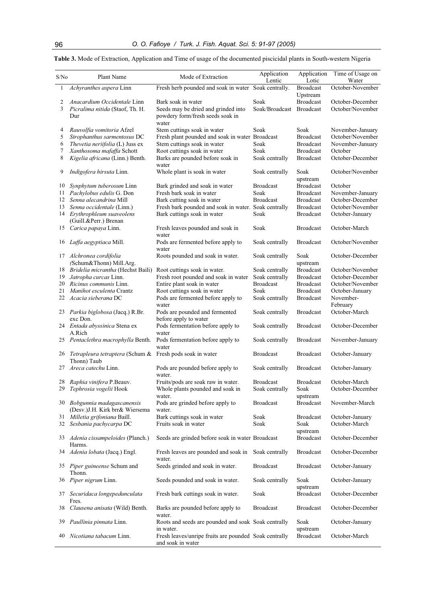**Table 3.** Mode of Extraction, Application and Time of usage of the documented piscicidal plants in South-western Nigeria

| S/No     | Plant Name                                                                        | Mode of Extraction                                                                  | Application<br>Lentic              | Application<br>Lotic                 | Time of Usage on<br>Water                |
|----------|-----------------------------------------------------------------------------------|-------------------------------------------------------------------------------------|------------------------------------|--------------------------------------|------------------------------------------|
| 1        | Achyranthes aspera Linn                                                           | Fresh herb pounded and soak in water Soak centrally.                                |                                    | <b>Broadcast</b><br>Upstream         | October-November                         |
| 2        | Anacardium Occidentale Linn                                                       | Bark soak in water                                                                  | Soak                               | <b>Broadcast</b>                     | October-December                         |
| 3        | Picralima nitida (Staof, Th. H.<br>Dur                                            | Seeds may be dried and grinded into<br>powdery form/fresh seeds soak in<br>water    | Soak/Broadcast Broadcast           |                                      | October/November                         |
| 4        | Rauvolfia vomitoria Afzel                                                         | Stem cuttings soak in water                                                         | Soak                               | Soak                                 | November-January                         |
| 5<br>6   | Strophanthus sarmentosus DC<br>Thevetia neriifolia (L) Juss ex                    | Fresh plant pounded and soak in water Broadcast<br>Stem cuttings soak in water      | Soak                               | <b>Broadcast</b><br><b>Broadcast</b> | October/November<br>November-January     |
| 7        | Xanthosoma mafaffa Schott                                                         | Root cuttings soak in water                                                         | Soak                               | <b>Broadcast</b>                     | October                                  |
| 8        | Kigelia africana (Linn.) Benth.                                                   | Barks are pounded before soak in<br>water                                           | Soak centrally                     | <b>Broadcast</b>                     | October-December                         |
| 9        | Indigofera hirsuta Linn.                                                          | Whole plant is soak in water                                                        | Soak centrally                     | Soak<br>upstream                     | October/November                         |
| 10       | Synphytum tuberosum Linn                                                          | Bark grinded and soak in water                                                      | <b>Broadcast</b>                   | <b>Broadcast</b>                     | October                                  |
| 11       | Pachylobus edulis G. Don                                                          | Fresh bark soak in water                                                            | Soak                               | <b>Broadcast</b>                     | November-January                         |
| 12       | Senna alecandrina Mill                                                            | Bark cutting soak in water                                                          | <b>Broadcast</b>                   | <b>Broadcast</b>                     | October-December                         |
| 13       | Senna occidentale (Linn.)<br>14 Erythrophleum suaveolens<br>(Guill.&Perr.) Brenan | Fresh bark pounded and soak in water. Soak centrally<br>Bark cuttings soak in water | Soak                               | <b>Broadcast</b><br><b>Broadcast</b> | October/November<br>October-January      |
| 15       | Carica papaya Linn.                                                               | Fresh leaves pounded and soak in<br>water                                           | Soak                               | <b>Broadcast</b>                     | October-March                            |
| 16       | Luffa aegyptiaca Mill.                                                            | Pods are fermented before apply to<br>water                                         | Soak centrally                     | <b>Broadcast</b>                     | October/November                         |
| 17       | Alchronea cordifolia<br>(Schum&Thonn) Mill.Arg.                                   | Roots pounded and soak in water.                                                    | Soak centrally                     | Soak<br>upstream                     | October-December                         |
| 18       | Bridelia micrantha (Hechst Baili)                                                 | Root cuttings soak in water.                                                        | Soak centrally                     | <b>Broadcast</b>                     | October/November                         |
| 19       | Jatropha curcas Linn.                                                             | Fresh root pounded and soak in water                                                | Soak centrally                     | <b>Broadcast</b>                     | October-December                         |
| 20       | Ricinus communis Linn.                                                            | Entire plant soak in water                                                          | <b>Broadcast</b>                   | <b>Broadcast</b>                     | October/November                         |
| 21<br>22 | Manihot esculenta Crantz<br>Acacia sieberana DC                                   | Root cuttings soak in water<br>Pods are fermented before apply to<br>water          | Soak<br>Soak centrally             | <b>Broadcast</b><br><b>Broadcast</b> | October-January<br>November-<br>February |
|          | 23 Parkia biglobosa (Jacq.) R.Br.<br>exc Don.                                     | Pods are pounded and fermented<br>before apply to water                             | Soak centrally                     | <b>Broadcast</b>                     | October-March                            |
|          | 24 Entada abyssinica Stena ex<br>A.Rich                                           | Pods fermentation before apply to<br>water                                          | Soak centrally                     | <b>Broadcast</b>                     | October-December                         |
|          | 25 Pentaclethra macrophylla Benth.                                                | Pods fermentation before apply to<br>water                                          | Soak centrally                     | <b>Broadcast</b>                     | November-January                         |
|          | 26 Tetrapleura tetraptera (Schum & Fresh pods soak in water<br>Thonn) Taub        |                                                                                     | <b>Broadcast</b>                   | <b>Broadcast</b>                     | October-January                          |
| 27       | Areca catechu Linn.                                                               | Pods are pounded before apply to<br>water.                                          | Soak centrally                     | <b>Broadcast</b>                     | October-January                          |
|          | 28 Raphia vinifera P.Beauv.<br>29 Tephrosia vogelii Hook                          | Fruits/pods are soak raw in water.<br>Whole plants pounded and soak in              | <b>Broadcast</b><br>Soak centrally | <b>Broadcast</b><br>Soak             | October-March<br>October-December        |
|          | 30 Bobgunnia madagascanensis<br>(Desv.) J.H. Kirk brr& Wiersema                   | water.<br>Pods are grinded before apply to<br>water.                                | <b>Broadcast</b>                   | upstream<br><b>Broadcast</b>         | November-March                           |
| 31       | Milletia grifoniana Baill.                                                        | Bark cuttings soak in water                                                         | Soak                               | <b>Broadcast</b>                     | October-January                          |
| 32       | Sesbania pachycarpa DC                                                            | Fruits soak in water                                                                | Soak                               | Soak<br>upstream                     | October-March                            |
|          | 33 Adenia cissampeloides (Planch.)<br>Harms.                                      | Seeds are grinded before soak in water Broadcast                                    |                                    | <b>Broadcast</b>                     | October-December                         |
|          | 34 Adenia lobata (Jacq.) Engl.                                                    | Fresh leaves are pounded and soak in<br>water.                                      | Soak centrally                     | <b>Broadcast</b>                     | October-December                         |
|          | 35 Piper guineense Schum and<br>Thonn.                                            | Seeds grinded and soak in water.                                                    | <b>Broadcast</b>                   | <b>Broadcast</b>                     | October-January                          |
|          | 36 Piper nigrum Linn.                                                             | Seeds pounded and soak in water.                                                    | Soak centrally                     | Soak<br>upstream                     | October-January                          |
| 37       | Securidaca longepedunculata<br>Fres.                                              | Fresh bark cuttings soak in water.                                                  | Soak                               | <b>Broadcast</b>                     | October-December                         |
| 38       | Clausena anisata (Wild) Benth.                                                    | Barks are pounded before apply to<br>water.                                         | <b>Broadcast</b>                   | <b>Broadcast</b>                     | October-December                         |
| 39       | Paullinia pinnata Linn.                                                           | Roots and seeds are pounded and soak Soak centrally<br>in water.                    |                                    | Soak<br>upstream                     | October-January                          |
| 40       | Nicotiana tabacum Linn.                                                           | Fresh leaves/unripe fruits are pounded Soak centrally<br>and soak in water          |                                    | <b>Broadcast</b>                     | October-March                            |